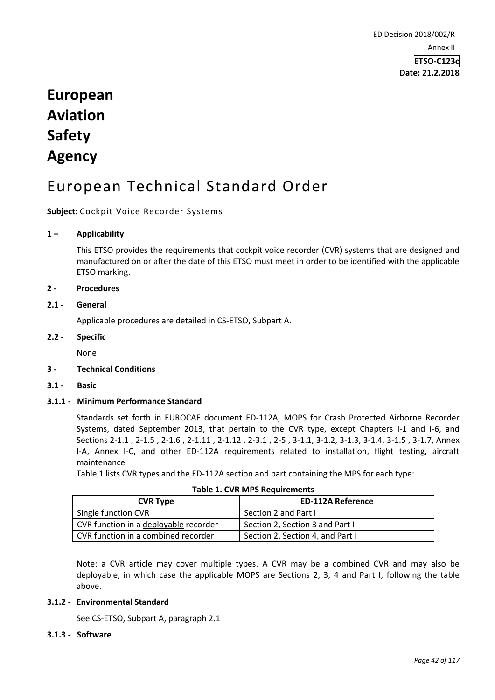**ETSO-C123c Date: 21.2.2018**

# **European Aviation Safety Agency**

# European Technical Standard Order

**Subject:** Cockpit Voice Recorder Systems

## **1 – Applicability**

This ETSO provides the requirements that cockpit voice recorder (CVR) systems that are designed and manufactured on or after the date of this ETSO must meet in order to be identified with the applicable ETSO marking.

## **2 - Procedures**

## **2.1 - General**

Applicable procedures are detailed in CS-ETSO, Subpart A.

## **2.2 - Specific**

None

### **3 - Technical Conditions**

**3.1 - Basic** 

## **3.1.1 - Minimum Performance Standard**

Standards set forth in EUROCAE document ED-112A, MOPS for Crash Protected Airborne Recorder Systems, dated September 2013, that pertain to the CVR type, except Chapters I-1 and I-6, and Sections 2-1.1 , 2-1.5 , 2-1.6 , 2-1.11 , 2-1.12 , 2-3.1 , 2-5 , 3-1.1, 3-1.2, 3-1.3, 3-1.4, 3-1.5 , 3-1.7, Annex I-A, Annex I-C, and other ED-112A requirements related to installation, flight testing, aircraft maintenance

Table 1 lists CVR types and the ED-112A section and part containing the MPS for each type:

| Table 1. CVR IVIPS Requirements       |                                  |  |  |  |
|---------------------------------------|----------------------------------|--|--|--|
| <b>CVR Type</b>                       | <b>ED-112A Reference</b>         |  |  |  |
| Single function CVR                   | Section 2 and Part I             |  |  |  |
| CVR function in a deployable recorder | Section 2, Section 3 and Part I  |  |  |  |
| CVR function in a combined recorder   | Section 2, Section 4, and Part I |  |  |  |

|  |  |  |  | <b>Table 1. CVR MPS Requirements</b> |  |
|--|--|--|--|--------------------------------------|--|
|--|--|--|--|--------------------------------------|--|

Note: a CVR article may cover multiple types. A CVR may be a combined CVR and may also be deployable, in which case the applicable MOPS are Sections 2, 3, 4 and Part I, following the table above.

### **3.1.2 - Environmental Standard**

See CS-ETSO, Subpart A, paragraph 2.1

### **3.1.3 - Software**